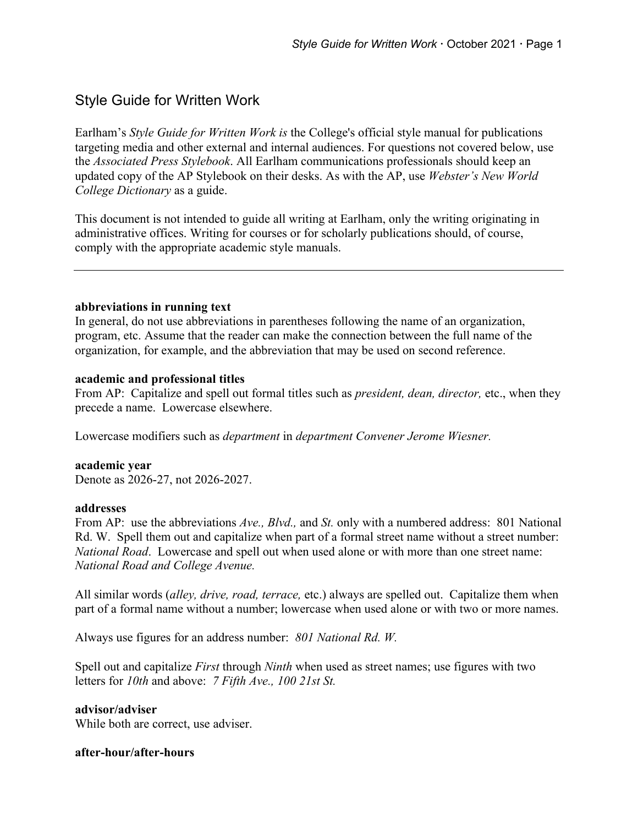# Style Guide for Written Work

Earlham's *Style Guide for Written Work is* the College's official style manual for publications targeting media and other external and internal audiences. For questions not covered below, use the *Associated Press Stylebook*. All Earlham communications professionals should keep an updated copy of the AP Stylebook on their desks. As with the AP, use *Webster's New World College Dictionary* as a guide.

This document is not intended to guide all writing at Earlham, only the writing originating in administrative offices. Writing for courses or for scholarly publications should, of course, comply with the appropriate academic style manuals.

### **abbreviations in running text**

In general, do not use abbreviations in parentheses following the name of an organization, program, etc. Assume that the reader can make the connection between the full name of the organization, for example, and the abbreviation that may be used on second reference.

#### **academic and professional titles**

From AP: Capitalize and spell out formal titles such as *president, dean, director,* etc., when they precede a name. Lowercase elsewhere.

Lowercase modifiers such as *department* in *department Convener Jerome Wiesner.*

**academic year** Denote as 2026-27, not 2026-2027.

#### **addresses**

From AP: use the abbreviations *Ave., Blvd.,* and *St.* only with a numbered address: 801 National Rd. W. Spell them out and capitalize when part of a formal street name without a street number: *National Road*. Lowercase and spell out when used alone or with more than one street name: *National Road and College Avenue.*

All similar words (*alley, drive, road, terrace,* etc.) always are spelled out. Capitalize them when part of a formal name without a number; lowercase when used alone or with two or more names.

Always use figures for an address number: *801 National Rd. W.*

Spell out and capitalize *First* through *Ninth* when used as street names; use figures with two letters for *10th* and above: *7 Fifth Ave., 100 21st St.*

**advisor/adviser** While both are correct, use adviser.

# **after-hour/after-hours**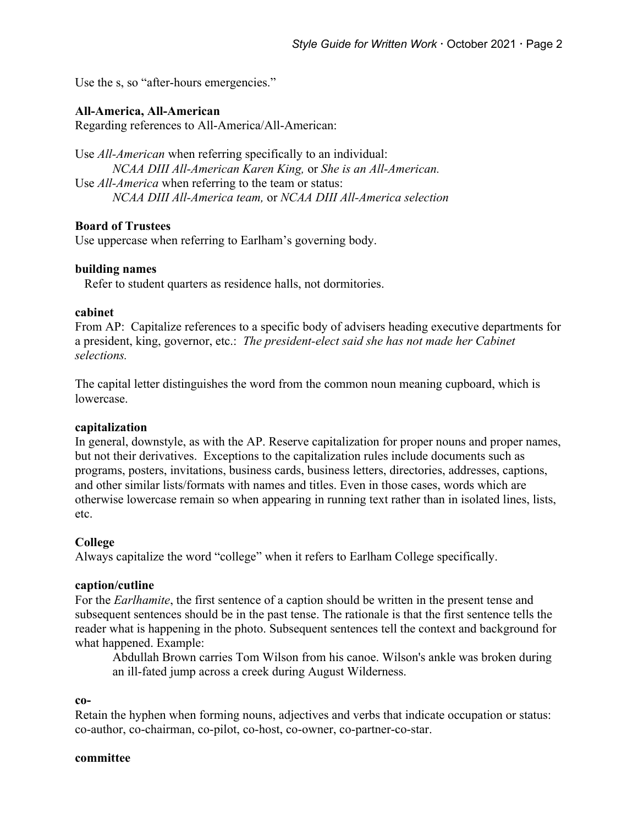Use the s, so "after-hours emergencies."

# **All-America, All-American**

Regarding references to All-America/All-American:

Use *All-American* when referring specifically to an individual: *NCAA DIII All-American Karen King,* or *She is an All-American.* Use *All-America* when referring to the team or status: *NCAA DIII All-America team,* or *NCAA DIII All-America selection*

### **Board of Trustees**

Use uppercase when referring to Earlham's governing body.

#### **building names**

Refer to student quarters as residence halls, not dormitories.

#### **cabinet**

From AP: Capitalize references to a specific body of advisers heading executive departments for a president, king, governor, etc.: *The president-elect said she has not made her Cabinet selections.*

The capital letter distinguishes the word from the common noun meaning cupboard, which is lowercase.

### **capitalization**

In general, downstyle, as with the AP. Reserve capitalization for proper nouns and proper names, but not their derivatives. Exceptions to the capitalization rules include documents such as programs, posters, invitations, business cards, business letters, directories, addresses, captions, and other similar lists/formats with names and titles. Even in those cases, words which are otherwise lowercase remain so when appearing in running text rather than in isolated lines, lists, etc.

### **College**

Always capitalize the word "college" when it refers to Earlham College specifically.

### **caption/cutline**

For the *Earlhamite*, the first sentence of a caption should be written in the present tense and subsequent sentences should be in the past tense. The rationale is that the first sentence tells the reader what is happening in the photo. Subsequent sentences tell the context and background for what happened. Example:

Abdullah Brown carries Tom Wilson from his canoe. Wilson's ankle was broken during an ill-fated jump across a creek during August Wilderness.

#### **co-**

Retain the hyphen when forming nouns, adjectives and verbs that indicate occupation or status: co-author, co-chairman, co-pilot, co-host, co-owner, co-partner-co-star.

#### **committee**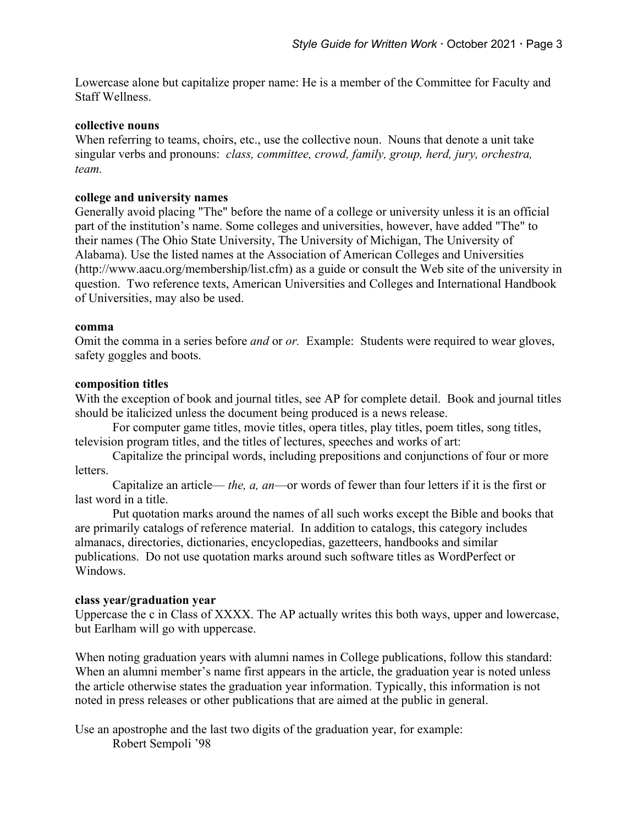Lowercase alone but capitalize proper name: He is a member of the Committee for Faculty and Staff Wellness.

#### **collective nouns**

When referring to teams, choirs, etc., use the collective noun. Nouns that denote a unit take singular verbs and pronouns: *class, committee, crowd, family, group, herd, jury, orchestra, team.*

#### **college and university names**

Generally avoid placing "The" before the name of a college or university unless it is an official part of the institution's name. Some colleges and universities, however, have added "The" to their names (The Ohio State University, The University of Michigan, The University of Alabama). Use the listed names at the Association of American Colleges and Universities (http://www.aacu.org/membership/list.cfm) as a guide or consult the Web site of the university in question. Two reference texts, American Universities and Colleges and International Handbook of Universities, may also be used.

#### **comma**

Omit the comma in a series before *and* or *or.* Example: Students were required to wear gloves, safety goggles and boots.

#### **composition titles**

With the exception of book and journal titles, see AP for complete detail. Book and journal titles should be italicized unless the document being produced is a news release.

For computer game titles, movie titles, opera titles, play titles, poem titles, song titles, television program titles, and the titles of lectures, speeches and works of art:

Capitalize the principal words, including prepositions and conjunctions of four or more letters.

Capitalize an article— *the, a, an*—or words of fewer than four letters if it is the first or last word in a title.

Put quotation marks around the names of all such works except the Bible and books that are primarily catalogs of reference material. In addition to catalogs, this category includes almanacs, directories, dictionaries, encyclopedias, gazetteers, handbooks and similar publications. Do not use quotation marks around such software titles as WordPerfect or Windows.

### **class year/graduation year**

Uppercase the c in Class of XXXX. The AP actually writes this both ways, upper and lowercase, but Earlham will go with uppercase.

When noting graduation years with alumni names in College publications, follow this standard: When an alumni member's name first appears in the article, the graduation year is noted unless the article otherwise states the graduation year information. Typically, this information is not noted in press releases or other publications that are aimed at the public in general.

Use an apostrophe and the last two digits of the graduation year, for example: Robert Sempoli '98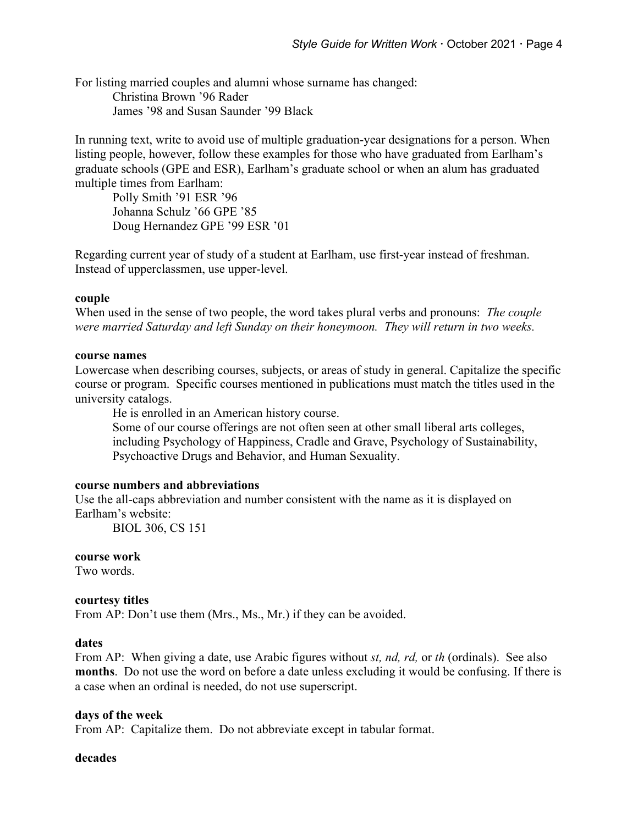For listing married couples and alumni whose surname has changed: Christina Brown '96 Rader James '98 and Susan Saunder '99 Black

In running text, write to avoid use of multiple graduation-year designations for a person. When listing people, however, follow these examples for those who have graduated from Earlham's graduate schools (GPE and ESR), Earlham's graduate school or when an alum has graduated multiple times from Earlham:

Polly Smith '91 ESR '96 Johanna Schulz '66 GPE '85 Doug Hernandez GPE '99 ESR '01

Regarding current year of study of a student at Earlham, use first-year instead of freshman. Instead of upperclassmen, use upper-level.

### **couple**

When used in the sense of two people, the word takes plural verbs and pronouns: *The couple were married Saturday and left Sunday on their honeymoon. They will return in two weeks.*

#### **course names**

Lowercase when describing courses, subjects, or areas of study in general. Capitalize the specific course or program. Specific courses mentioned in publications must match the titles used in the university catalogs.

He is enrolled in an American history course.

Some of our course offerings are not often seen at other small liberal arts colleges, including Psychology of Happiness, Cradle and Grave, Psychology of Sustainability, Psychoactive Drugs and Behavior, and Human Sexuality.

### **course numbers and abbreviations**

Use the all-caps abbreviation and number consistent with the name as it is displayed on Earlham's website:

BIOL 306, CS 151

#### **course work**

Two words.

#### **courtesy titles**

From AP: Don't use them (Mrs., Ms., Mr.) if they can be avoided.

#### **dates**

From AP: When giving a date, use Arabic figures without *st, nd, rd,* or *th* (ordinals). See also **months**. Do not use the word on before a date unless excluding it would be confusing. If there is a case when an ordinal is needed, do not use superscript.

#### **days of the week**

From AP: Capitalize them. Do not abbreviate except in tabular format.

#### **decades**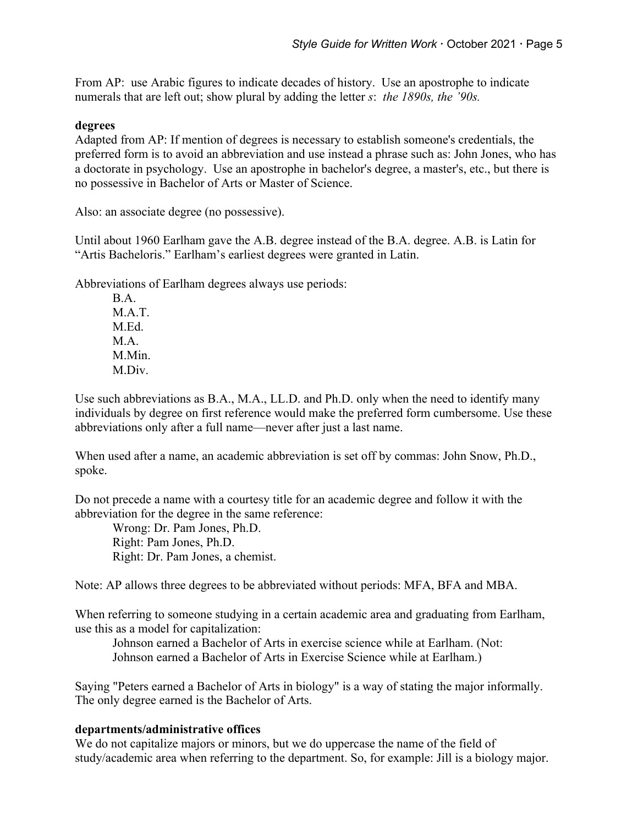From AP: use Arabic figures to indicate decades of history. Use an apostrophe to indicate numerals that are left out; show plural by adding the letter *s*: *the 1890s, the '90s.*

### **degrees**

Adapted from AP: If mention of degrees is necessary to establish someone's credentials, the preferred form is to avoid an abbreviation and use instead a phrase such as: John Jones, who has a doctorate in psychology. Use an apostrophe in bachelor's degree, a master's, etc., but there is no possessive in Bachelor of Arts or Master of Science.

Also: an associate degree (no possessive).

Until about 1960 Earlham gave the A.B. degree instead of the B.A. degree. A.B. is Latin for "Artis Bacheloris." Earlham's earliest degrees were granted in Latin.

Abbreviations of Earlham degrees always use periods:

B.A. M A T M.Ed. M A M.Min. M.Div.

Use such abbreviations as B.A., M.A., LL.D. and Ph.D. only when the need to identify many individuals by degree on first reference would make the preferred form cumbersome. Use these abbreviations only after a full name—never after just a last name.

When used after a name, an academic abbreviation is set off by commas: John Snow, Ph.D., spoke.

Do not precede a name with a courtesy title for an academic degree and follow it with the abbreviation for the degree in the same reference:

Wrong: Dr. Pam Jones, Ph.D. Right: Pam Jones, Ph.D. Right: Dr. Pam Jones, a chemist.

Note: AP allows three degrees to be abbreviated without periods: MFA, BFA and MBA.

When referring to someone studying in a certain academic area and graduating from Earlham, use this as a model for capitalization:

Johnson earned a Bachelor of Arts in exercise science while at Earlham. (Not: Johnson earned a Bachelor of Arts in Exercise Science while at Earlham.)

Saying "Peters earned a Bachelor of Arts in biology" is a way of stating the major informally. The only degree earned is the Bachelor of Arts.

# **departments/administrative offices**

We do not capitalize majors or minors, but we do uppercase the name of the field of study/academic area when referring to the department. So, for example: Jill is a biology major.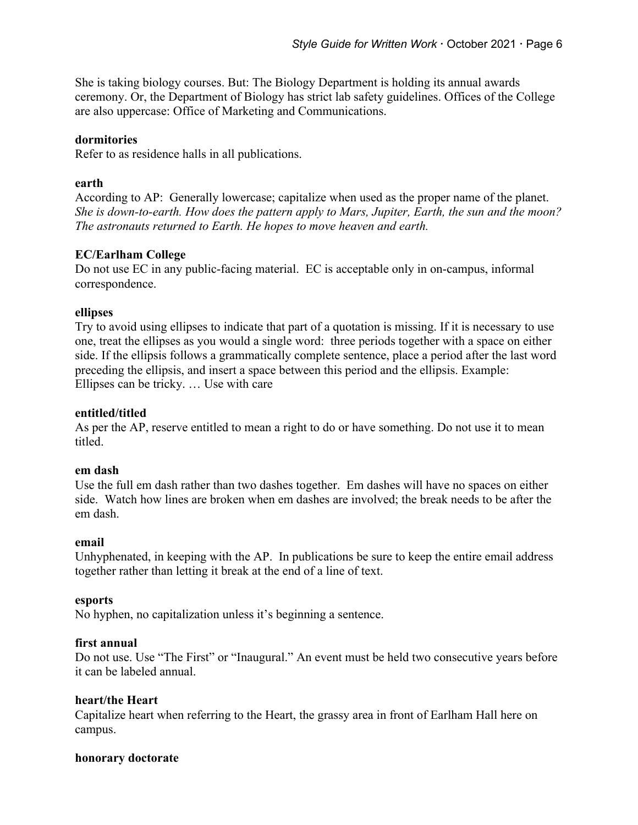She is taking biology courses. But: The Biology Department is holding its annual awards ceremony. Or, the Department of Biology has strict lab safety guidelines. Offices of the College are also uppercase: Office of Marketing and Communications.

# **dormitories**

Refer to as residence halls in all publications.

### **earth**

According to AP: Generally lowercase; capitalize when used as the proper name of the planet. *She is down-to-earth. How does the pattern apply to Mars, Jupiter, Earth, the sun and the moon? The astronauts returned to Earth. He hopes to move heaven and earth.*

# **EC/Earlham College**

Do not use EC in any public-facing material. EC is acceptable only in on-campus, informal correspondence.

### **ellipses**

Try to avoid using ellipses to indicate that part of a quotation is missing. If it is necessary to use one, treat the ellipses as you would a single word: three periods together with a space on either side. If the ellipsis follows a grammatically complete sentence, place a period after the last word preceding the ellipsis, and insert a space between this period and the ellipsis. Example: Ellipses can be tricky. … Use with care

### **entitled/titled**

As per the AP, reserve entitled to mean a right to do or have something. Do not use it to mean titled.

### **em dash**

Use the full em dash rather than two dashes together. Em dashes will have no spaces on either side. Watch how lines are broken when em dashes are involved; the break needs to be after the em dash.

### **email**

Unhyphenated, in keeping with the AP. In publications be sure to keep the entire email address together rather than letting it break at the end of a line of text.

### **esports**

No hyphen, no capitalization unless it's beginning a sentence.

### **first annual**

Do not use. Use "The First" or "Inaugural." An event must be held two consecutive years before it can be labeled annual.

# **heart/the Heart**

Capitalize heart when referring to the Heart, the grassy area in front of Earlham Hall here on campus.

### **honorary doctorate**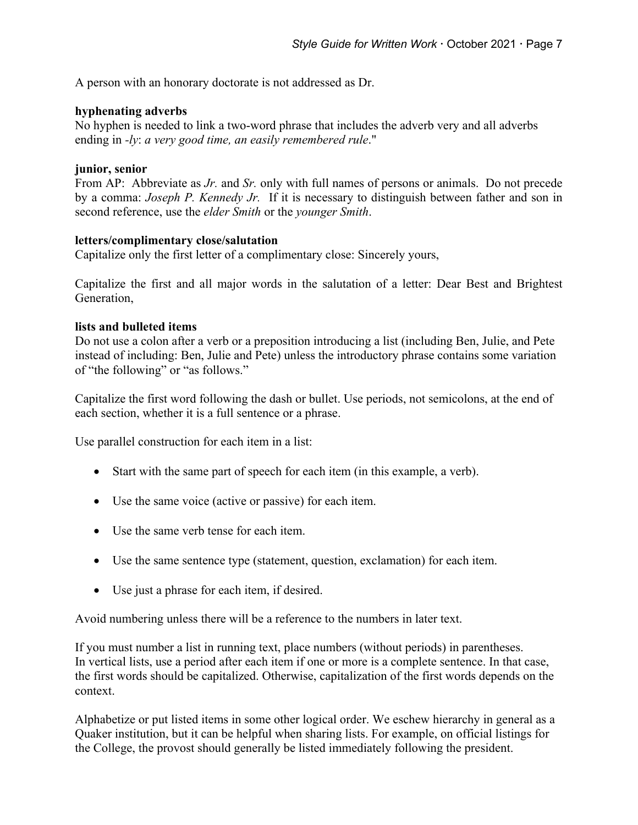A person with an honorary doctorate is not addressed as Dr.

# **hyphenating adverbs**

No hyphen is needed to link a two-word phrase that includes the adverb very and all adverbs ending in *-ly*: *a very good time, an easily remembered rule*."

### **junior, senior**

From AP: Abbreviate as *Jr.* and *Sr.* only with full names of persons or animals. Do not precede by a comma: *Joseph P. Kennedy Jr.* If it is necessary to distinguish between father and son in second reference, use the *elder Smith* or the *younger Smith*.

### **letters/complimentary close/salutation**

Capitalize only the first letter of a complimentary close: Sincerely yours,

Capitalize the first and all major words in the salutation of a letter: Dear Best and Brightest Generation,

# **lists and bulleted items**

Do not use a colon after a verb or a preposition introducing a list (including Ben, Julie, and Pete instead of including: Ben, Julie and Pete) unless the introductory phrase contains some variation of "the following" or "as follows."

Capitalize the first word following the dash or bullet. Use periods, not semicolons, at the end of each section, whether it is a full sentence or a phrase.

Use parallel construction for each item in a list:

- Start with the same part of speech for each item (in this example, a verb).
- Use the same voice (active or passive) for each item.
- Use the same verb tense for each item.
- Use the same sentence type (statement, question, exclamation) for each item.
- Use just a phrase for each item, if desired.

Avoid numbering unless there will be a reference to the numbers in later text.

If you must number a list in running text, place numbers (without periods) in parentheses. In vertical lists, use a period after each item if one or more is a complete sentence. In that case, the first words should be capitalized. Otherwise, capitalization of the first words depends on the context.

Alphabetize or put listed items in some other logical order. We eschew hierarchy in general as a Quaker institution, but it can be helpful when sharing lists. For example, on official listings for the College, the provost should generally be listed immediately following the president.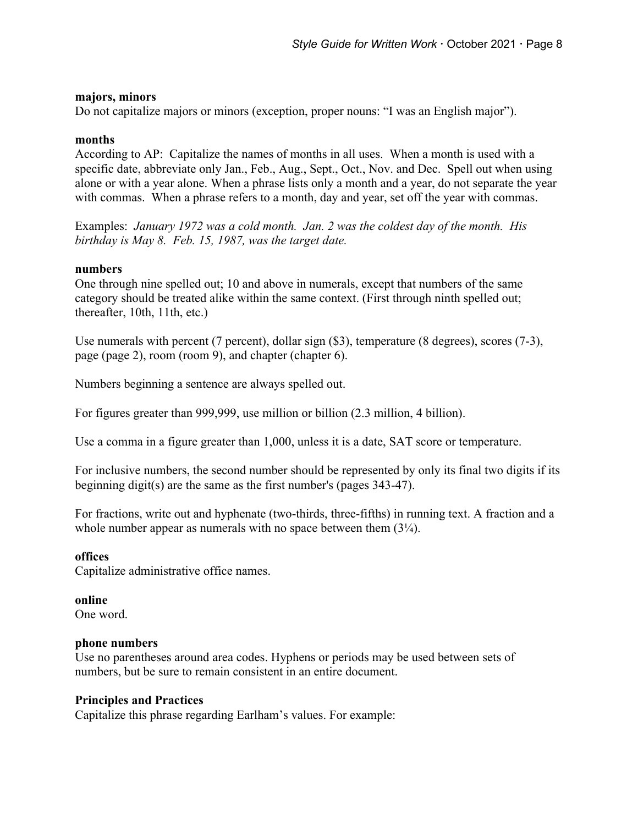### **majors, minors**

Do not capitalize majors or minors (exception, proper nouns: "I was an English major").

### **months**

According to AP: Capitalize the names of months in all uses. When a month is used with a specific date, abbreviate only Jan., Feb., Aug., Sept., Oct., Nov. and Dec. Spell out when using alone or with a year alone. When a phrase lists only a month and a year, do not separate the year with commas. When a phrase refers to a month, day and year, set off the year with commas.

Examples: *January 1972 was a cold month. Jan. 2 was the coldest day of the month. His birthday is May 8. Feb. 15, 1987, was the target date.*

### **numbers**

One through nine spelled out; 10 and above in numerals, except that numbers of the same category should be treated alike within the same context. (First through ninth spelled out; thereafter, 10th, 11th, etc.)

Use numerals with percent (7 percent), dollar sign (\$3), temperature (8 degrees), scores (7-3), page (page 2), room (room 9), and chapter (chapter 6).

Numbers beginning a sentence are always spelled out.

For figures greater than 999,999, use million or billion (2.3 million, 4 billion).

Use a comma in a figure greater than 1,000, unless it is a date, SAT score or temperature.

For inclusive numbers, the second number should be represented by only its final two digits if its beginning digit(s) are the same as the first number's (pages 343-47).

For fractions, write out and hyphenate (two-thirds, three-fifths) in running text. A fraction and a whole number appear as numerals with no space between them  $(3\frac{1}{4})$ .

### **offices**

Capitalize administrative office names.

### **online**

One word.

### **phone numbers**

Use no parentheses around area codes. Hyphens or periods may be used between sets of numbers, but be sure to remain consistent in an entire document.

### **Principles and Practices**

Capitalize this phrase regarding Earlham's values. For example: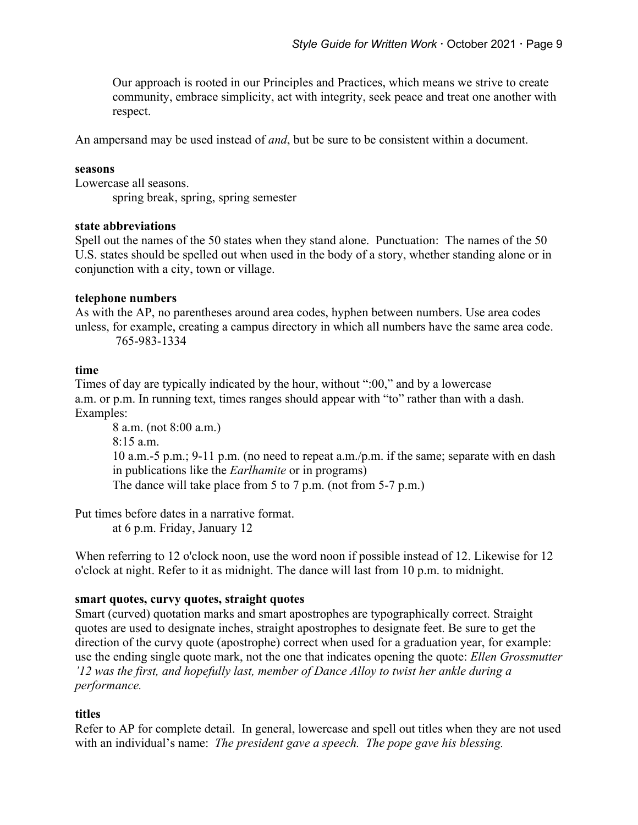Our approach is rooted in our Principles and Practices, which means we strive to create community, embrace simplicity, act with integrity, seek peace and treat one another with respect.

An ampersand may be used instead of *and*, but be sure to be consistent within a document.

### **seasons**

Lowercase all seasons.

spring break, spring, spring semester

#### **state abbreviations**

Spell out the names of the 50 states when they stand alone. Punctuation: The names of the 50 U.S. states should be spelled out when used in the body of a story, whether standing alone or in conjunction with a city, town or village.

### **telephone numbers**

As with the AP, no parentheses around area codes, hyphen between numbers. Use area codes unless, for example, creating a campus directory in which all numbers have the same area code. 765-983-1334

#### **time**

Times of day are typically indicated by the hour, without ":00," and by a lowercase a.m. or p.m. In running text, times ranges should appear with "to" rather than with a dash. Examples:

```
8 a.m. (not 8:00 a.m.)
8:15 a.m.
10 a.m.-5 p.m.; 9-11 p.m. (no need to repeat a.m./p.m. if the same; separate with en dash 
in publications like the Earlhamite or in programs)
The dance will take place from 5 to 7 p.m. (not from 5-7 p.m.)
```
Put times before dates in a narrative format. at 6 p.m. Friday, January 12

When referring to 12 o'clock noon, use the word noon if possible instead of 12. Likewise for 12 o'clock at night. Refer to it as midnight. The dance will last from 10 p.m. to midnight.

### **smart quotes, curvy quotes, straight quotes**

Smart (curved) quotation marks and smart apostrophes are typographically correct. Straight quotes are used to designate inches, straight apostrophes to designate feet. Be sure to get the direction of the curvy quote (apostrophe) correct when used for a graduation year, for example: use the ending single quote mark, not the one that indicates opening the quote: *Ellen Grossmutter '12 was the first, and hopefully last, member of Dance Alloy to twist her ankle during a performance.*

### **titles**

Refer to AP for complete detail. In general, lowercase and spell out titles when they are not used with an individual's name: *The president gave a speech. The pope gave his blessing.*